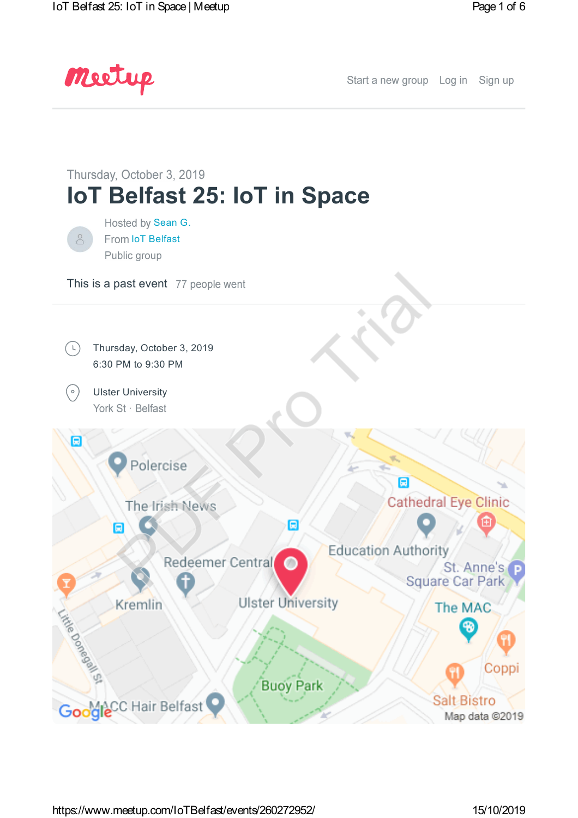

Start a new group Log in Sign up

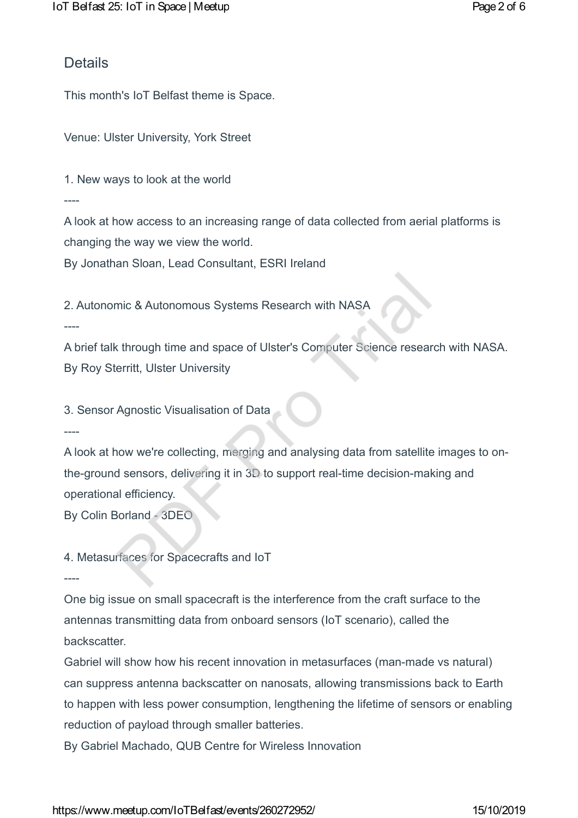## Details

This month's IoT Belfast theme is Space.

Venue: Ulster University, York Street

1. New ways to look at the world

----

A look at how access to an increasing range of data collected from aerial platforms is changing the way we view the world.

By Jonathan Sloan, Lead Consultant, ESRI Ireland

2. Autonomic & Autonomous Systems Research with NASA

----

A brief talk through time and space of Ulster's Computer Science research with NASA. By Roy Sterritt, Ulster University

3. Sensor Agnostic Visualisation of Data

----

A look at how we're collecting, merging and analysing data from satellite images to onthe-ground sensors, delivering it in 3D to support real-time decision-making and operational efficiency.

By Colin Borland - 3DEO

4. Metasurfaces for Spacecrafts and IoT

----

One big issue on small spacecraft is the interference from the craft surface to the antennas transmitting data from onboard sensors (IoT scenario), called the backscatter.

Gabriel will show how his recent innovation in metasurfaces (man-made vs natural) can suppress antenna backscatter on nanosats, allowing transmissions back to Earth to happen with less power consumption, lengthening the lifetime of sensors or enabling reduction of payload through smaller batteries. 2. Autonomic & Autonomous Systems Research with NASA<br>
...<br>
...<br>
A brief talk through time and space of Ulster's Computer Science research with NASA.<br>
By Roy Sterritt, Ulster University<br>
3. Sensor Agnostic Visualisation of

By Gabriel Machado, QUB Centre for Wireless Innovation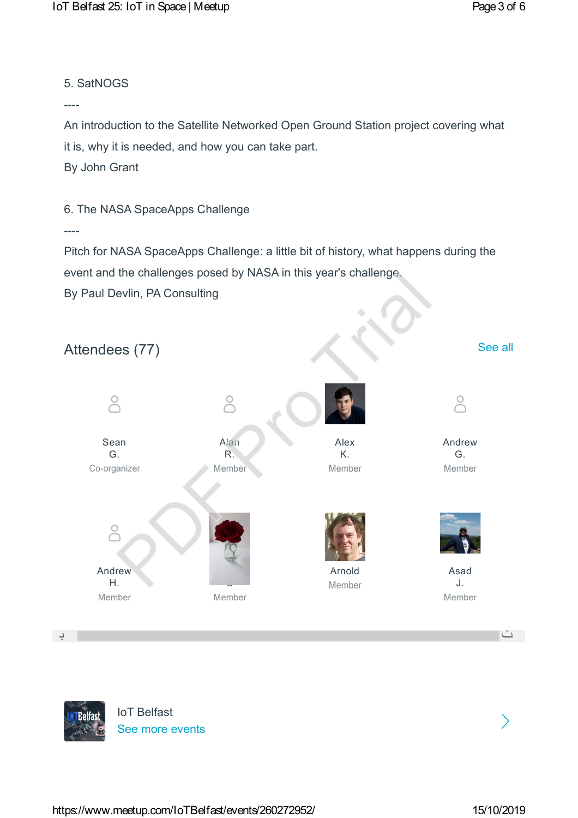## 5. SatNOGS

----

An introduction to the Satellite Networked Open Ground Station project covering what it is, why it is needed, and how you can take part.

By John Grant

6. The NASA SpaceApps Challenge

----

Pitch for NASA SpaceApps Challenge: a little bit of history, what happens during the event and the challenges posed by NASA in this year's challenge.

By Paul Devlin, PA Consulting

Attendees (77) See all



ن المسلمان المسلمان المسلمان المسلمان المسلمان المسلمان المسلمان المسلمان المسلمان المسلمان المسلمان المسلمان ا<br>وقد المسلمان المسلمان المسلمان المسلمان المسلمان المسلمان المسلمان المسلمان المسلمان المسلمان المسلمان المسلم



Andrew G.

J.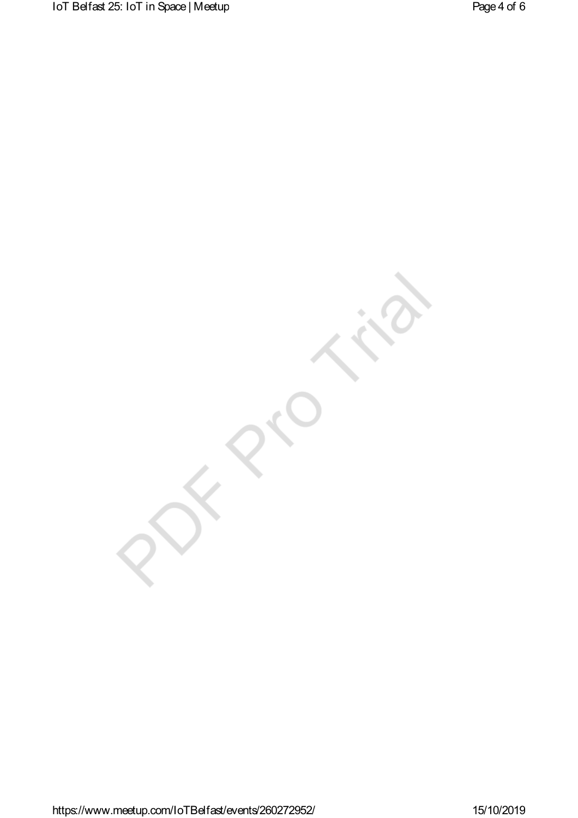https://www.meetup.com/IoTBelfast/events/260272952/ 15/10/2019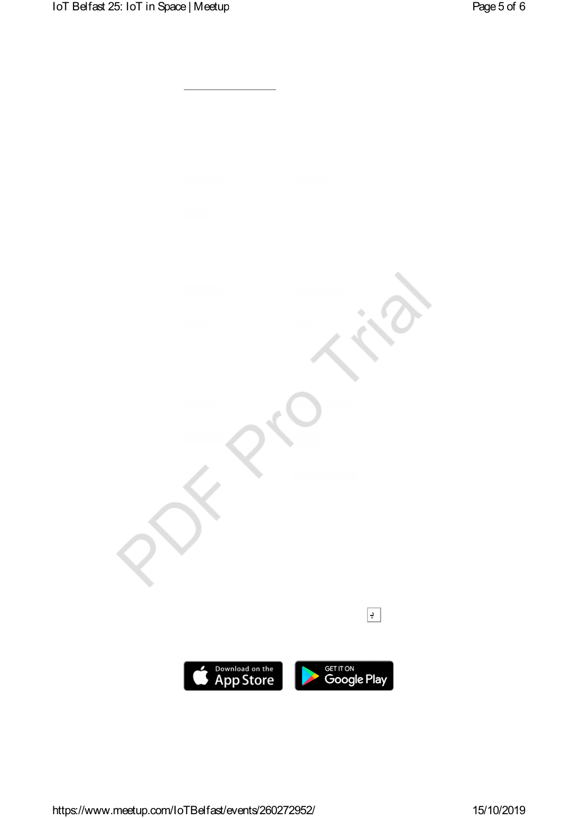Start a new group of the start and start and start and start and start and start and start and start and start

 $\mathbb{R}$  English  $\mathbb{R}$ https://www.meetup.com/IoTBelfast/events/260272952/ 15/10/2019